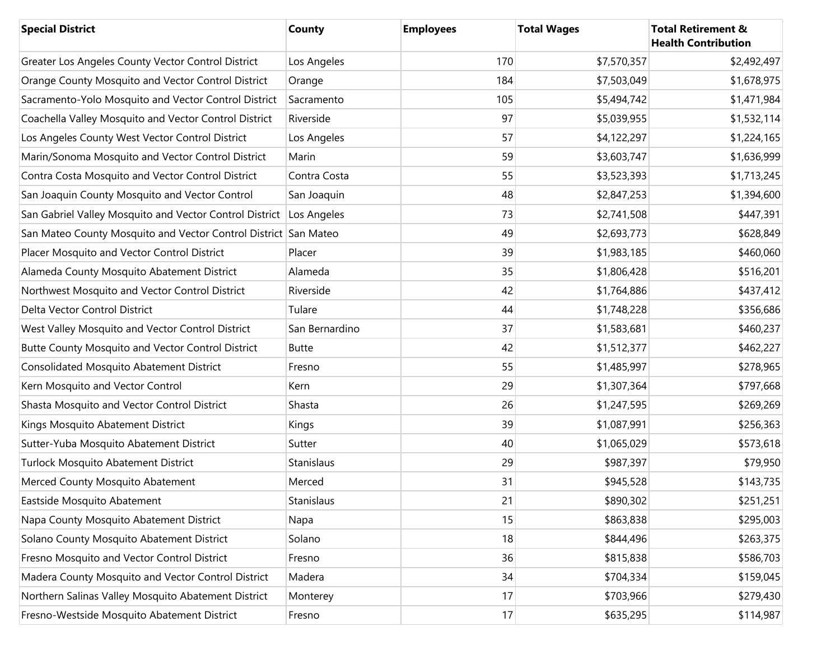| <b>Special District</b>                                             | <b>County</b>  | <b>Employees</b> | <b>Total Wages</b> | <b>Total Retirement &amp;</b><br><b>Health Contribution</b> |
|---------------------------------------------------------------------|----------------|------------------|--------------------|-------------------------------------------------------------|
| Greater Los Angeles County Vector Control District                  | Los Angeles    | 170              | \$7,570,357        | \$2,492,497                                                 |
| Orange County Mosquito and Vector Control District                  | Orange         | 184              | \$7,503,049        | \$1,678,975                                                 |
| Sacramento-Yolo Mosquito and Vector Control District                | Sacramento     | 105              | \$5,494,742        | \$1,471,984                                                 |
| Coachella Valley Mosquito and Vector Control District               | Riverside      | 97               | \$5,039,955        | \$1,532,114                                                 |
| Los Angeles County West Vector Control District                     | Los Angeles    | 57               | \$4,122,297        | \$1,224,165                                                 |
| Marin/Sonoma Mosquito and Vector Control District                   | Marin          | 59               | \$3,603,747        | \$1,636,999                                                 |
| Contra Costa Mosquito and Vector Control District                   | Contra Costa   | 55               | \$3,523,393        | \$1,713,245                                                 |
| San Joaquin County Mosquito and Vector Control                      | San Joaquin    | 48               | \$2,847,253        | \$1,394,600                                                 |
| San Gabriel Valley Mosquito and Vector Control District Los Angeles |                | 73               | \$2,741,508        | \$447,391                                                   |
| San Mateo County Mosquito and Vector Control District San Mateo     |                | 49               | \$2,693,773        | \$628,849                                                   |
| Placer Mosquito and Vector Control District                         | Placer         | 39               | \$1,983,185        | \$460,060                                                   |
| Alameda County Mosquito Abatement District                          | Alameda        | 35               | \$1,806,428        | \$516,201                                                   |
| Northwest Mosquito and Vector Control District                      | Riverside      | 42               | \$1,764,886        | \$437,412                                                   |
| Delta Vector Control District                                       | Tulare         | 44               | \$1,748,228        | \$356,686                                                   |
| West Valley Mosquito and Vector Control District                    | San Bernardino | 37               | \$1,583,681        | \$460,237                                                   |
| Butte County Mosquito and Vector Control District                   | <b>Butte</b>   | 42               | \$1,512,377        | \$462,227                                                   |
| <b>Consolidated Mosquito Abatement District</b>                     | Fresno         | 55               | \$1,485,997        | \$278,965                                                   |
| Kern Mosquito and Vector Control                                    | Kern           | 29               | \$1,307,364        | \$797,668                                                   |
| Shasta Mosquito and Vector Control District                         | Shasta         | 26               | \$1,247,595        | \$269,269                                                   |
| Kings Mosquito Abatement District                                   | Kings          | 39               | \$1,087,991        | \$256,363                                                   |
| Sutter-Yuba Mosquito Abatement District                             | Sutter         | 40               | \$1,065,029        | \$573,618                                                   |
| <b>Turlock Mosquito Abatement District</b>                          | Stanislaus     | 29               | \$987,397          | \$79,950                                                    |
| Merced County Mosquito Abatement                                    | Merced         | 31               | \$945,528          | \$143,735                                                   |
| Eastside Mosquito Abatement                                         | Stanislaus     | 21               | \$890,302          | \$251,251                                                   |
| Napa County Mosquito Abatement District                             | Napa           | 15               | \$863,838          | \$295,003                                                   |
| Solano County Mosquito Abatement District                           | Solano         | 18               | \$844,496          | \$263,375                                                   |
| Fresno Mosquito and Vector Control District                         | Fresno         | 36               | \$815,838          | \$586,703                                                   |
| Madera County Mosquito and Vector Control District                  | Madera         | 34               | \$704,334          | \$159,045                                                   |
| Northern Salinas Valley Mosquito Abatement District                 | Monterey       | 17               | \$703,966          | \$279,430                                                   |
| Fresno-Westside Mosquito Abatement District                         | Fresno         | 17               | \$635,295          | \$114,987                                                   |